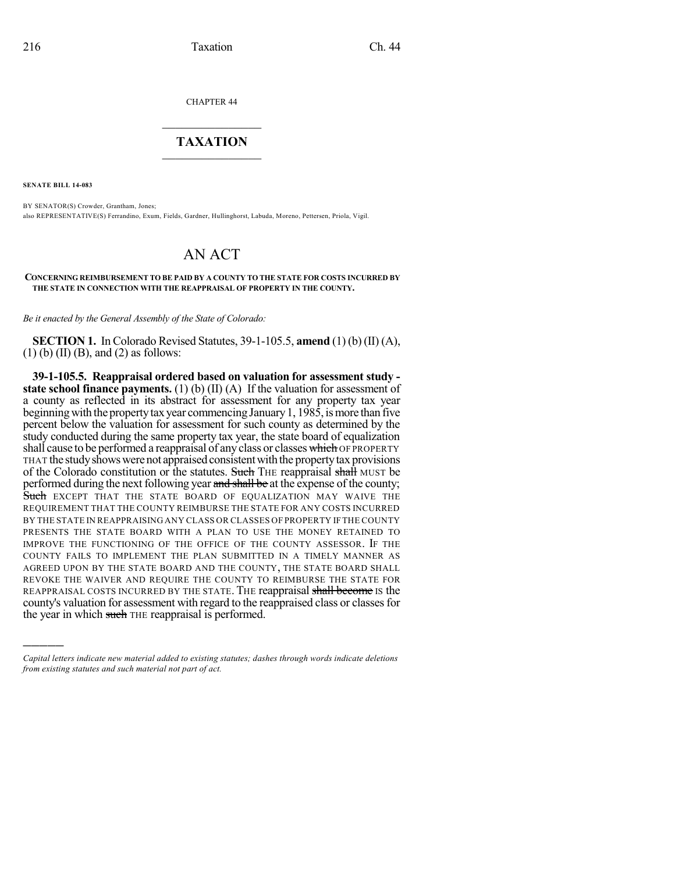CHAPTER 44

## $\overline{\phantom{a}}$  . The set of the set of the set of the set of the set of the set of the set of the set of the set of the set of the set of the set of the set of the set of the set of the set of the set of the set of the set o **TAXATION**  $\_$

**SENATE BILL 14-083**

)))))

BY SENATOR(S) Crowder, Grantham, Jones; also REPRESENTATIVE(S) Ferrandino, Exum, Fields, Gardner, Hullinghorst, Labuda, Moreno, Pettersen, Priola, Vigil.

## AN ACT

## **CONCERNING REIMBURSEMENT TO BE PAID BY A COUNTY TO THE STATE FOR COSTS INCURRED BY THE STATE IN CONNECTION WITH THE REAPPRAISAL OF PROPERTY IN THE COUNTY.**

*Be it enacted by the General Assembly of the State of Colorado:*

**SECTION 1.** In Colorado Revised Statutes, 39-1-105.5, **amend** (1) (b) (II) (A),  $(1)$  (b) (II) (B), and (2) as follows:

**39-1-105.5. Reappraisal ordered based on valuation for assessment study state school finance payments.** (1) (b) (II) (A) If the valuation for assessment of a county as reflected in its abstract for assessment for any property tax year beginning with the property tax year commencing January 1,  $198\hat{5}$ , is more than five percent below the valuation for assessment for such county as determined by the study conducted during the same property tax year, the state board of equalization shall cause to be performed a reappraisal of any class or classes which OF PROPERTY THAT the studyshowswerenot appraisedconsistentwiththe propertytax provisions of the Colorado constitution or the statutes. Such THE reappraisal shall MUST be performed during the next following year and shall be at the expense of the county; Such EXCEPT THAT THE STATE BOARD OF EQUALIZATION MAY WAIVE THE REQUIREMENT THAT THE COUNTY REIMBURSE THE STATE FOR ANY COSTS INCURRED BY THE STATE IN REAPPRAISING ANY CLASS OR CLASSES OF PROPERTY IF THE COUNTY PRESENTS THE STATE BOARD WITH A PLAN TO USE THE MONEY RETAINED TO IMPROVE THE FUNCTIONING OF THE OFFICE OF THE COUNTY ASSESSOR. IF THE COUNTY FAILS TO IMPLEMENT THE PLAN SUBMITTED IN A TIMELY MANNER AS AGREED UPON BY THE STATE BOARD AND THE COUNTY, THE STATE BOARD SHALL REVOKE THE WAIVER AND REQUIRE THE COUNTY TO REIMBURSE THE STATE FOR REAPPRAISAL COSTS INCURRED BY THE STATE. THE reappraisal shall become is the county's valuation for assessment with regard to the reappraised class or classesfor the year in which such THE reappraisal is performed.

*Capital letters indicate new material added to existing statutes; dashes through words indicate deletions from existing statutes and such material not part of act.*